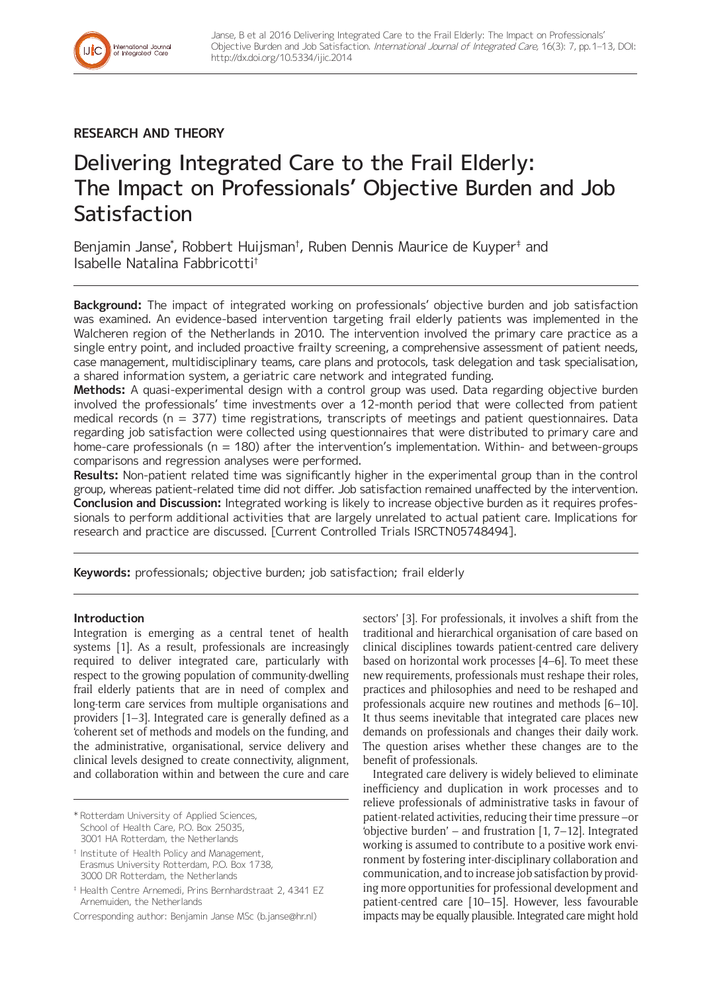# **RESEARCH AND THEORY**

International Journal<br>of Integrated Care

# Delivering Integrated Care to the Frail Elderly: The Impact on Professionals' Objective Burden and Job **Satisfaction**

Benjamin Janse\* , Robbert Huijsman† , Ruben Dennis Maurice de Kuyper‡ and Isabelle Natalina Fabbricotti†

**Background:** The impact of integrated working on professionals' objective burden and job satisfaction was examined. An evidence-based intervention targeting frail elderly patients was implemented in the Walcheren region of the Netherlands in 2010. The intervention involved the primary care practice as a single entry point, and included proactive frailty screening, a comprehensive assessment of patient needs, case management, multidisciplinary teams, care plans and protocols, task delegation and task specialisation, a shared information system, a geriatric care network and integrated funding.

**Methods:** A quasi-experimental design with a control group was used. Data regarding objective burden involved the professionals' time investments over a 12-month period that were collected from patient medical records ( $n = 377$ ) time registrations, transcripts of meetings and patient questionnaires. Data regarding job satisfaction were collected using questionnaires that were distributed to primary care and home-care professionals ( $n = 180$ ) after the intervention's implementation. Within- and between-groups comparisons and regression analyses were performed.

**Results:** Non-patient related time was significantly higher in the experimental group than in the control group, whereas patient-related time did not differ. Job satisfaction remained unaffected by the intervention. **Conclusion and Discussion:** Integrated working is likely to increase objective burden as it requires professionals to perform additional activities that are largely unrelated to actual patient care. Implications for research and practice are discussed. [Current Controlled Trials ISRCTN05748494].

**Keywords:** professionals; objective burden; job satisfaction; frail elderly

## **Introduction**

Integration is emerging as a central tenet of health systems [1]. As a result, professionals are increasingly required to deliver integrated care, particularly with respect to the growing population of community-dwelling frail elderly patients that are in need of complex and long-term care services from multiple organisations and providers [1–3]. Integrated care is generally defined as a 'coherent set of methods and models on the funding, and the administrative, organisational, service delivery and clinical levels designed to create connectivity, alignment, and collaboration within and between the cure and care

\* Rotterdam University of Applied Sciences, School of Health Care, P.O. Box 25035, 3001 HA Rotterdam, the Netherlands

† Institute of Health Policy and Management, Erasmus University Rotterdam, P.O. Box 1738, 3000 DR Rotterdam, the Netherlands

‡ Health Centre Arnemedi, Prins Bernhardstraat 2, 4341 EZ Arnemuiden, the Netherlands

Corresponding author: Benjamin Janse MSc ([b.janse@hr.nl\)](mailto:b.janse@hr.nl)

sectors' [3]. For professionals, it involves a shift from the traditional and hierarchical organisation of care based on clinical disciplines towards patient-centred care delivery based on horizontal work processes [4–6]. To meet these new requirements, professionals must reshape their roles, practices and philosophies and need to be reshaped and professionals acquire new routines and methods [6–10]. It thus seems inevitable that integrated care places new demands on professionals and changes their daily work. The question arises whether these changes are to the benefit of professionals.

Integrated care delivery is widely believed to eliminate inefficiency and duplication in work processes and to relieve professionals of administrative tasks in favour of patient-related activities, reducing their time pressure –or 'objective burden' – and frustration [1, 7–12]. Integrated working is assumed to contribute to a positive work environment by fostering inter-disciplinary collaboration and communication, and to increase job satisfaction by providing more opportunities for professional development and patient-centred care [10–15]. However, less favourable impacts may be equally plausible. Integrated care might hold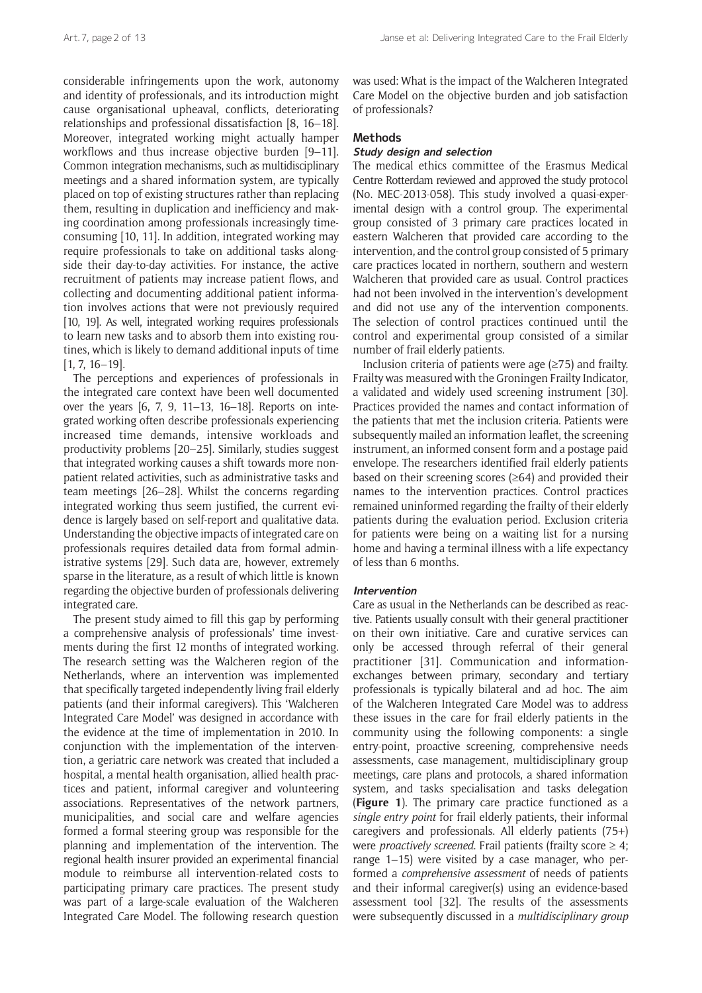considerable infringements upon the work, autonomy and identity of professionals, and its introduction might cause organisational upheaval, conflicts, deteriorating relationships and professional dissatisfaction [8, 16–18]. Moreover, integrated working might actually hamper workflows and thus increase objective burden [9–11]. Common integration mechanisms, such as multidisciplinary meetings and a shared information system, are typically placed on top of existing structures rather than replacing them, resulting in duplication and inefficiency and making coordination among professionals increasingly timeconsuming [10, 11]. In addition, integrated working may require professionals to take on additional tasks alongside their day-to-day activities. For instance, the active recruitment of patients may increase patient flows, and collecting and documenting additional patient information involves actions that were not previously required [10, 19]. As well, integrated working requires professionals to learn new tasks and to absorb them into existing routines, which is likely to demand additional inputs of time [1, 7, 16–19].

The perceptions and experiences of professionals in the integrated care context have been well documented over the years [6, 7, 9, 11–13, 16–18]. Reports on integrated working often describe professionals experiencing increased time demands, intensive workloads and productivity problems [20–25]. Similarly, studies suggest that integrated working causes a shift towards more nonpatient related activities, such as administrative tasks and team meetings [26–28]. Whilst the concerns regarding integrated working thus seem justified, the current evidence is largely based on self-report and qualitative data. Understanding the objective impacts of integrated care on professionals requires detailed data from formal administrative systems [29]. Such data are, however, extremely sparse in the literature, as a result of which little is known regarding the objective burden of professionals delivering integrated care.

The present study aimed to fill this gap by performing a comprehensive analysis of professionals' time investments during the first 12 months of integrated working. The research setting was the Walcheren region of the Netherlands, where an intervention was implemented that specifically targeted independently living frail elderly patients (and their informal caregivers). This 'Walcheren Integrated Care Model' was designed in accordance with the evidence at the time of implementation in 2010. In conjunction with the implementation of the intervention, a geriatric care network was created that included a hospital, a mental health organisation, allied health practices and patient, informal caregiver and volunteering associations. Representatives of the network partners, municipalities, and social care and welfare agencies formed a formal steering group was responsible for the planning and implementation of the intervention. The regional health insurer provided an experimental financial module to reimburse all intervention-related costs to participating primary care practices. The present study was part of a large-scale evaluation of the Walcheren Integrated Care Model. The following research question

was used: What is the impact of the Walcheren Integrated Care Model on the objective burden and job satisfaction of professionals?

## **Methods**

## **Study design and selection**

The medical ethics committee of the Erasmus Medical Centre Rotterdam reviewed and approved the study protocol (No. MEC-2013-058). This study involved a quasi-experimental design with a control group. The experimental group consisted of 3 primary care practices located in eastern Walcheren that provided care according to the intervention, and the control group consisted of 5 primary care practices located in northern, southern and western Walcheren that provided care as usual. Control practices had not been involved in the intervention's development and did not use any of the intervention components. The selection of control practices continued until the control and experimental group consisted of a similar number of frail elderly patients.

Inclusion criteria of patients were age (≥75) and frailty. Frailty was measured with the Groningen Frailty Indicator, a validated and widely used screening instrument [30]. Practices provided the names and contact information of the patients that met the inclusion criteria. Patients were subsequently mailed an information leaflet, the screening instrument, an informed consent form and a postage paid envelope. The researchers identified frail elderly patients based on their screening scores  $(\geq 64)$  and provided their names to the intervention practices. Control practices remained uninformed regarding the frailty of their elderly patients during the evaluation period. Exclusion criteria for patients were being on a waiting list for a nursing home and having a terminal illness with a life expectancy of less than 6 months.

#### **Intervention**

Care as usual in the Netherlands can be described as reactive. Patients usually consult with their general practitioner on their own initiative. Care and curative services can only be accessed through referral of their general practitioner [31]. Communication and informationexchanges between primary, secondary and tertiary professionals is typically bilateral and ad hoc. The aim of the Walcheren Integrated Care Model was to address these issues in the care for frail elderly patients in the community using the following components: a single entry-point, proactive screening, comprehensive needs assessments, case management, multidisciplinary group meetings, care plans and protocols, a shared information system, and tasks specialisation and tasks delegation (**Figure 1**). The primary care practice functioned as a *single entry point* for frail elderly patients, their informal caregivers and professionals. All elderly patients (75+) were *proactively screened*. Frail patients (frailty score  $\geq 4$ ; range 1–15) were visited by a case manager, who performed a *comprehensive assessment* of needs of patients and their informal caregiver(s) using an evidence-based assessment tool [32]. The results of the assessments were subsequently discussed in a *multidisciplinary group*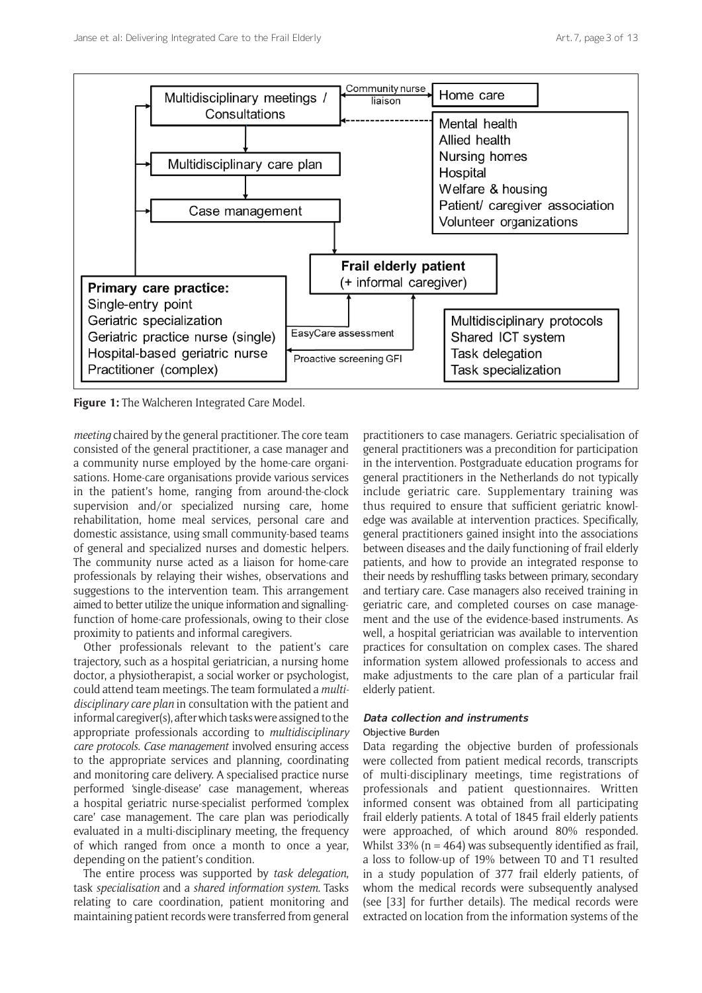

**Figure 1:** The Walcheren Integrated Care Model.

*meeting* chaired by the general practitioner. The core team consisted of the general practitioner, a case manager and a community nurse employed by the home-care organisations. Home-care organisations provide various services in the patient's home, ranging from around-the-clock supervision and/or specialized nursing care, home rehabilitation, home meal services, personal care and domestic assistance, using small community-based teams of general and specialized nurses and domestic helpers. The community nurse acted as a liaison for home-care professionals by relaying their wishes, observations and suggestions to the intervention team. This arrangement aimed to better utilize the unique information and signallingfunction of home-care professionals, owing to their close proximity to patients and informal caregivers.

Other professionals relevant to the patient's care trajectory, such as a hospital geriatrician, a nursing home doctor, a physiotherapist, a social worker or psychologist, could attend team meetings. The team formulated a *multidisciplinary care plan* in consultation with the patient and informal caregiver(s), after which tasks were assigned to the appropriate professionals according to *multidisciplinary care protocols. Case management* involved ensuring access to the appropriate services and planning, coordinating and monitoring care delivery. A specialised practice nurse performed 'single-disease' case management, whereas a hospital geriatric nurse-specialist performed 'complex care' case management. The care plan was periodically evaluated in a multi-disciplinary meeting, the frequency of which ranged from once a month to once a year, depending on the patient's condition.

The entire process was supported by *task delegation*, task *specialisation* and a *shared information system*. Tasks relating to care coordination, patient monitoring and maintaining patient records were transferred from general practitioners to case managers. Geriatric specialisation of general practitioners was a precondition for participation in the intervention. Postgraduate education programs for general practitioners in the Netherlands do not typically include geriatric care. Supplementary training was thus required to ensure that sufficient geriatric knowledge was available at intervention practices. Specifically, general practitioners gained insight into the associations between diseases and the daily functioning of frail elderly patients, and how to provide an integrated response to their needs by reshuffling tasks between primary, secondary and tertiary care. Case managers also received training in geriatric care, and completed courses on case management and the use of the evidence-based instruments. As well, a hospital geriatrician was available to intervention practices for consultation on complex cases. The shared information system allowed professionals to access and make adjustments to the care plan of a particular frail elderly patient.

## **Data collection and instruments**

## Objective Burden

Data regarding the objective burden of professionals were collected from patient medical records, transcripts of multi-disciplinary meetings, time registrations of professionals and patient questionnaires. Written informed consent was obtained from all participating frail elderly patients. A total of 1845 frail elderly patients were approached, of which around 80% responded. Whilst 33% ( $n = 464$ ) was subsequently identified as frail, a loss to follow-up of 19% between T0 and T1 resulted in a study population of 377 frail elderly patients, of whom the medical records were subsequently analysed (see [33] for further details). The medical records were extracted on location from the information systems of the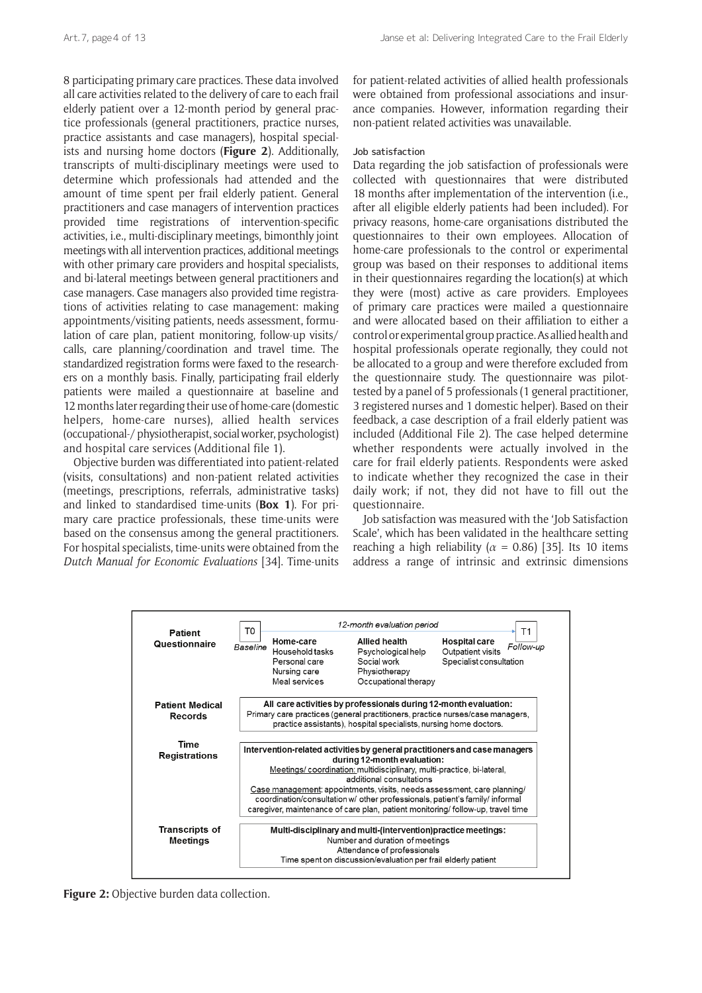8 participating primary care practices. These data involved all care activities related to the delivery of care to each frail elderly patient over a 12-month period by general practice professionals (general practitioners, practice nurses, practice assistants and case managers), hospital specialists and nursing home doctors (**Figure 2**). Additionally, transcripts of multi-disciplinary meetings were used to determine which professionals had attended and the amount of time spent per frail elderly patient. General practitioners and case managers of intervention practices provided time registrations of intervention-specific activities, i.e., multi-disciplinary meetings, bimonthly joint meetings with all intervention practices, additional meetings with other primary care providers and hospital specialists, and bi-lateral meetings between general practitioners and case managers. Case managers also provided time registrations of activities relating to case management: making appointments/visiting patients, needs assessment, formulation of care plan, patient monitoring, follow-up visits/ calls, care planning/coordination and travel time. The standardized registration forms were faxed to the researchers on a monthly basis. Finally, participating frail elderly patients were mailed a questionnaire at baseline and 12 months later regarding their use of home-care (domestic helpers, home-care nurses), allied health services (occupational-/ physiotherapist, social worker, psychologist) and hospital care services (Additional file 1).

Objective burden was differentiated into patient-related (visits, consultations) and non-patient related activities (meetings, prescriptions, referrals, administrative tasks) and linked to standardised time-units (**Box 1**). For primary care practice professionals, these time-units were based on the consensus among the general practitioners. For hospital specialists, time-units were obtained from the *Dutch Manual for Economic Evaluations* [34]. Time-units

for patient-related activities of allied health professionals were obtained from professional associations and insurance companies. However, information regarding their non-patient related activities was unavailable.

#### Job satisfaction

Data regarding the job satisfaction of professionals were collected with questionnaires that were distributed 18 months after implementation of the intervention (i.e., after all eligible elderly patients had been included). For privacy reasons, home-care organisations distributed the questionnaires to their own employees. Allocation of home-care professionals to the control or experimental group was based on their responses to additional items in their questionnaires regarding the location(s) at which they were (most) active as care providers. Employees of primary care practices were mailed a questionnaire and were allocated based on their affiliation to either a control or experimental group practice. As allied health and hospital professionals operate regionally, they could not be allocated to a group and were therefore excluded from the questionnaire study. The questionnaire was pilottested by a panel of 5 professionals (1 general practitioner, 3 registered nurses and 1 domestic helper). Based on their feedback, a case description of a frail elderly patient was included (Additional File 2). The case helped determine whether respondents were actually involved in the care for frail elderly patients. Respondents were asked to indicate whether they recognized the case in their daily work; if not, they did not have to fill out the questionnaire.

Job satisfaction was measured with the 'Job Satisfaction Scale', which has been validated in the healthcare setting reaching a high reliability ( $\alpha$  = 0.86) [35]. Its 10 items address a range of intrinsic and extrinsic dimensions



**Figure 2:** Objective burden data collection.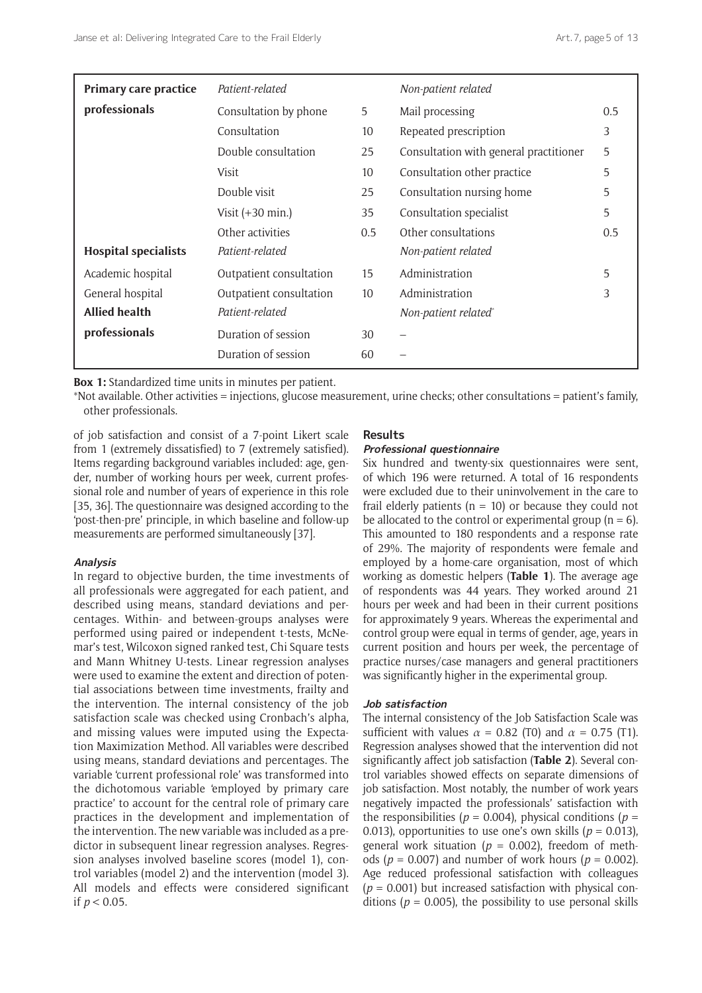| <b>Primary care practice</b> | Patient-related            |     | Non-patient related                    |     |
|------------------------------|----------------------------|-----|----------------------------------------|-----|
| professionals                | Consultation by phone      | 5   | Mail processing                        | 0.5 |
|                              | Consultation               | 10  | Repeated prescription                  | 3   |
|                              | Double consultation        | 25  | Consultation with general practitioner | 5   |
|                              | Visit                      | 10  | Consultation other practice            | 5   |
|                              | Double visit               | 25  | Consultation nursing home              | 5   |
|                              | Visit $(+30 \text{ min.})$ | 35  | Consultation specialist                | 5   |
|                              | Other activities           | 0.5 | Other consultations                    | 0.5 |
| <b>Hospital specialists</b>  | Patient-related            |     | Non-patient related                    |     |
| Academic hospital            | Outpatient consultation    | 15  | Administration                         | 5   |
| General hospital             | Outpatient consultation    | 10  | Administration                         | 3   |
| <b>Allied health</b>         | Patient-related            |     | Non-patient related*                   |     |
| professionals                | Duration of session        | 30  |                                        |     |
|                              | Duration of session        | 60  |                                        |     |

**Box 1:** Standardized time units in minutes per patient.

\*Not available. Other activities = injections, glucose measurement, urine checks; other consultations = patient's family, other professionals.

of job satisfaction and consist of a 7-point Likert scale from 1 (extremely dissatisfied) to 7 (extremely satisfied). Items regarding background variables included: age, gender, number of working hours per week, current professional role and number of years of experience in this role [35, 36]. The questionnaire was designed according to the 'post-then-pre' principle, in which baseline and follow-up measurements are performed simultaneously [37].

#### **Analysis**

In regard to objective burden, the time investments of all professionals were aggregated for each patient, and described using means, standard deviations and percentages. Within- and between-groups analyses were performed using paired or independent t-tests, McNemar's test, Wilcoxon signed ranked test, Chi Square tests and Mann Whitney U-tests. Linear regression analyses were used to examine the extent and direction of potential associations between time investments, frailty and the intervention. The internal consistency of the job satisfaction scale was checked using Cronbach's alpha, and missing values were imputed using the Expectation Maximization Method. All variables were described using means, standard deviations and percentages. The variable 'current professional role' was transformed into the dichotomous variable 'employed by primary care practice' to account for the central role of primary care practices in the development and implementation of the intervention. The new variable was included as a predictor in subsequent linear regression analyses. Regression analyses involved baseline scores (model 1), control variables (model 2) and the intervention (model 3). All models and effects were considered significant if  $p < 0.05$ .

## **Results**

#### **Professional questionnaire**

Six hundred and twenty-six questionnaires were sent, of which 196 were returned. A total of 16 respondents were excluded due to their uninvolvement in the care to frail elderly patients ( $n = 10$ ) or because they could not be allocated to the control or experimental group ( $n = 6$ ). This amounted to 180 respondents and a response rate of 29%. The majority of respondents were female and employed by a home-care organisation, most of which working as domestic helpers (**Table 1**). The average age of respondents was 44 years. They worked around 21 hours per week and had been in their current positions for approximately 9 years. Whereas the experimental and control group were equal in terms of gender, age, years in current position and hours per week, the percentage of practice nurses/case managers and general practitioners was significantly higher in the experimental group.

#### **Job satisfaction**

The internal consistency of the Job Satisfaction Scale was sufficient with values  $\alpha = 0.82$  (T0) and  $\alpha = 0.75$  (T1). Regression analyses showed that the intervention did not significantly affect job satisfaction (**Table 2**). Several control variables showed effects on separate dimensions of job satisfaction. Most notably, the number of work years negatively impacted the professionals' satisfaction with the responsibilities ( $p = 0.004$ ), physical conditions ( $p =$ 0.013), opportunities to use one's own skills ( $p = 0.013$ ), general work situation ( $p = 0.002$ ), freedom of methods ( $p = 0.007$ ) and number of work hours ( $p = 0.002$ ). Age reduced professional satisfaction with colleagues (*p* = 0.001) but increased satisfaction with physical conditions ( $p = 0.005$ ), the possibility to use personal skills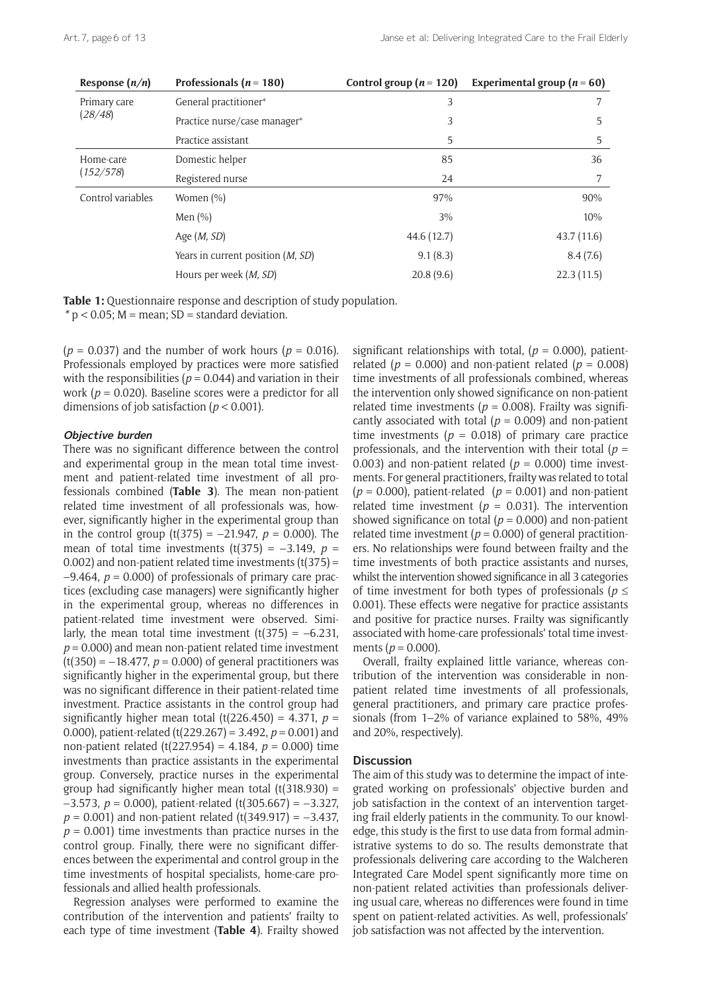| Response $(n/n)$  | Professionals ( $n = 180$ )             | Control group ( $n = 120$ ) | Experimental group ( $n = 60$ ) |
|-------------------|-----------------------------------------|-----------------------------|---------------------------------|
| Primary care      | General practitioner*                   | 3                           |                                 |
| (28/48)           | Practice nurse/case manager*            | 3                           | 5                               |
|                   | Practice assistant                      | 5                           | 5                               |
| Home-care         | Domestic helper                         | 85                          | 36                              |
| (152/578)         | Registered nurse                        | 24                          | 7                               |
| Control variables | Women $(\% )$                           | 97%                         | 90%                             |
|                   | Men $(\% )$                             | 3%                          | 10%                             |
|                   | Age $(M, SD)$                           | 44.6 (12.7)                 | 43.7(11.6)                      |
|                   | Years in current position $(M, SD)$     | 9.1(8.3)                    | 8.4(7.6)                        |
|                   | Hours per week ( <i>M</i> , <i>SD</i> ) | 20.8(9.6)                   | 22.3(11.5)                      |
|                   |                                         |                             |                                 |

**Table 1:** Questionnaire response and description of study population.

 $*$   $p$  < 0.05;  $M$  = mean;  $SD$  = standard deviation.

 $(p = 0.037)$  and the number of work hours  $(p = 0.016)$ . Professionals employed by practices were more satisfied with the responsibilities ( $p = 0.044$ ) and variation in their work (*p* = 0.020). Baseline scores were a predictor for all dimensions of job satisfaction (*p* < 0.001).

# **Objective burden**

There was no significant difference between the control and experimental group in the mean total time investment and patient-related time investment of all professionals combined (**Table 3**). The mean non-patient related time investment of all professionals was, however, significantly higher in the experimental group than in the control group (t(375) = −21.947, *p* = 0.000). The mean of total time investments (t(375) = −3.149, *p* = 0.002) and non-patient related time investments  $(t(375) =$ −9.464, *p* = 0.000) of professionals of primary care practices (excluding case managers) were significantly higher in the experimental group, whereas no differences in patient-related time investment were observed. Similarly, the mean total time investment  $(t(375) = -6.231$ , *p* = 0.000) and mean non-patient related time investment (t(350) = −18.477, *p* = 0.000) of general practitioners was significantly higher in the experimental group, but there was no significant difference in their patient-related time investment. Practice assistants in the control group had significantly higher mean total  $(t(226.450) = 4.371, p =$ 0.000), patient-related (t(229.267) = 3.492, *p* = 0.001) and non-patient related (t(227.954) = 4.184, *p* = 0.000) time investments than practice assistants in the experimental group. Conversely, practice nurses in the experimental group had significantly higher mean total  $(t/318.930) =$ −3.573, *p* = 0.000), patient-related (t(305.667) = −3.327, *p* = 0.001) and non-patient related (t(349.917) = −3.437,  $p = 0.001$ ) time investments than practice nurses in the control group. Finally, there were no significant differences between the experimental and control group in the time investments of hospital specialists, home-care professionals and allied health professionals.

Regression analyses were performed to examine the contribution of the intervention and patients' frailty to each type of time investment (**Table 4**). Frailty showed significant relationships with total, (*p* = 0.000), patientrelated ( $p = 0.000$ ) and non-patient related ( $p = 0.008$ ) time investments of all professionals combined, whereas the intervention only showed significance on non-patient related time investments ( $p = 0.008$ ). Frailty was significantly associated with total ( $p = 0.009$ ) and non-patient time investments ( $p = 0.018$ ) of primary care practice professionals, and the intervention with their total (*p* = 0.003) and non-patient related ( $p = 0.000$ ) time investments. For general practitioners, frailty was related to total (*p* = 0.000), patient-related (*p* = 0.001) and non-patient related time investment ( $p = 0.031$ ). The intervention showed significance on total  $(p = 0.000)$  and non-patient related time investment ( $p = 0.000$ ) of general practitioners. No relationships were found between frailty and the time investments of both practice assistants and nurses, whilst the intervention showed significance in all 3 categories of time investment for both types of professionals (*p* ≤ 0.001). These effects were negative for practice assistants and positive for practice nurses. Frailty was significantly associated with home-care professionals' total time investments ( $p = 0.000$ ).

Overall, frailty explained little variance, whereas contribution of the intervention was considerable in nonpatient related time investments of all professionals, general practitioners, and primary care practice professionals (from 1–2% of variance explained to 58%, 49% and 20%, respectively).

## **Discussion**

The aim of this study was to determine the impact of integrated working on professionals' objective burden and job satisfaction in the context of an intervention targeting frail elderly patients in the community. To our knowledge, this study is the first to use data from formal administrative systems to do so. The results demonstrate that professionals delivering care according to the Walcheren Integrated Care Model spent significantly more time on non-patient related activities than professionals delivering usual care, whereas no differences were found in time spent on patient-related activities. As well, professionals' job satisfaction was not affected by the intervention.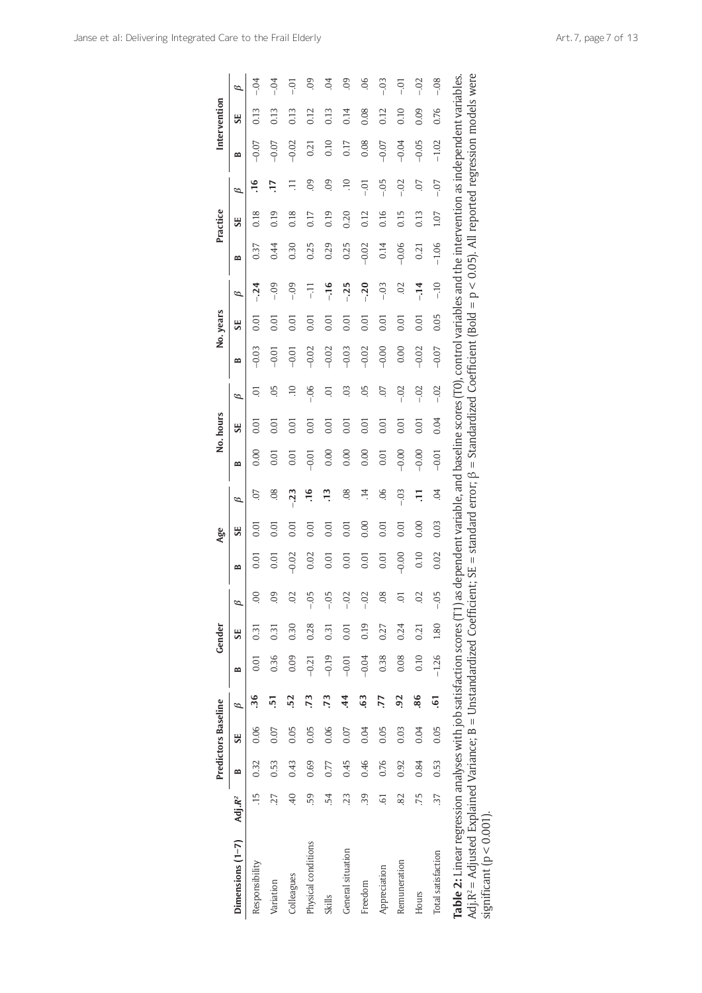|                                                                                                                                                                                                                                                                                                                                                  |                 |              | <b>Predictors Baseline</b> |                 |         | Gender |                 |                                                                                                                  | Age  |                 |         | No. hours     |                |         | No. years |           |         | Practice |                 |         | Intervention |                |
|--------------------------------------------------------------------------------------------------------------------------------------------------------------------------------------------------------------------------------------------------------------------------------------------------------------------------------------------------|-----------------|--------------|----------------------------|-----------------|---------|--------|-----------------|------------------------------------------------------------------------------------------------------------------|------|-----------------|---------|---------------|----------------|---------|-----------|-----------|---------|----------|-----------------|---------|--------------|----------------|
| $Dimensions(1-7)$                                                                                                                                                                                                                                                                                                                                | Adj. $R^2$      | $\mathbf{r}$ | SE                         | Β               | m       | SE     | ≏               | m                                                                                                                | SE   | 6               | B       | SE            | 6              | ≃       | SE        | 6         | ≃       | SE       | β               | B       | SE           | 6              |
| Responsibility                                                                                                                                                                                                                                                                                                                                   | $\overline{15}$ | 0.32         | 0.06                       | $\ddot{36}$     | 0.01    | 0.31   | $\overline{0}$  | 0.01                                                                                                             | 0.01 | 07              | 0.00    | 5<br>0.01     | 5              | $-0.03$ | 0.01      | $-24$     | 0.37    | 0.18     | $\overline{16}$ | $-0.07$ | 0.13         | $-0.4$         |
| Variation                                                                                                                                                                                                                                                                                                                                        | 27              | 0.53         | 0.07                       | $\overline{5}$  | 0.36    | 0.31   | $\overline{60}$ | 5.0                                                                                                              | 0.01 | 08              | 0.01    | 0.01          | $\overline{0}$ | $-0.01$ | 0.01      | $-0.9$    | 0.44    | 0.19     | E               | $-0.07$ | 0.13         | $-0.4$         |
| Colleagues                                                                                                                                                                                                                                                                                                                                       | $\overline{4}$  | 0.43         | 0.05                       | $\overline{52}$ | 0.09    | 0.30   | $\overline{0}$  | $-0.02$                                                                                                          | 0.01 | $-23$           | 0.01    | 5.<br>0.<br>0 | $\ddot{0}$     | $-0.01$ | 0.01      | $-0.9$    | 0.30    | 0.18     |                 | $-0.02$ | 0.13         | ⊺o<br>∣        |
| Physical conditions                                                                                                                                                                                                                                                                                                                              | 59              | 0.69         | 0.05                       | .73             | $-0.21$ | 0.28   | $-0.5$          | 0.02                                                                                                             | 0.01 | $\overline{16}$ | $-0.01$ | 0.01          | $-06$          | $-0.02$ | 0.01      | 두         | 0.25    | 0.17     | 8               | 0.21    | 0.12         | $\overline{0}$ |
| Skills                                                                                                                                                                                                                                                                                                                                           | -54             | 0.77         | 0.06                       | 73              | $-0.19$ | 0.31   | $-0.5$          | 0.01                                                                                                             | 0.01 | $\overline{13}$ | 0.00    | 0.01          | $\overline{O}$ | $-0.02$ | 0.01      | $-16$     | 0.29    | 0.19     | 8               | 0.10    | 0.13         | $\overline{0}$ |
| General situation                                                                                                                                                                                                                                                                                                                                | 23              | 0.45         | 0.07                       | $\dot{4}$       | $-0.01$ | 0.01   | $-.02$          | 0.01                                                                                                             | 0.01 | 08              | 0.00    | 0.01          | $\ddot{\circ}$ | $-0.03$ | 0.01      | $-25$     | 0.25    | 0.20     | $\Xi$           | 0.17    | 0.14         | O9             |
| Freedom                                                                                                                                                                                                                                                                                                                                          | 39              | 0.46         | 0.04                       | $\ddot{6}$      | $-0.04$ | 0.19   | $-.02$          | 0.01                                                                                                             | 0.00 | $\overline{14}$ | 0.00    | 0.01          | $\ddot{\circ}$ | $-0.02$ | 0.01      | $-20$     | $-0.02$ | 0.12     | $-0.0$          | 0.08    | 0.08         | 90.            |
| Appreciation                                                                                                                                                                                                                                                                                                                                     | Ğ.              | 0.76         | 0.05                       | 77              | 0.38    | 0.27   | .08             | 0.01                                                                                                             | 0.01 | $\overline{0}$  | 0.01    | 0.01          | <b>CO</b> .    | $-0.00$ | 0.01      | $-03$     | 0.14    | 0.16     | $-0.5$          | $-0.07$ | 0.12         | $-03$          |
| Remuneration                                                                                                                                                                                                                                                                                                                                     | 82              | 0.92         | 0.03                       | 92              | 0.08    | 0.24   | $\overline{O}$  | $-0.00$                                                                                                          | 0.01 | $-03$           | $-0.00$ | 0.01          | $-0.02$        | 0.00    | 0.01      | $\approx$ | $-0.06$ | 0.15     | $-02$           | $-0.04$ | 0.10         | ⊺o<br>∣        |
| Hours                                                                                                                                                                                                                                                                                                                                            | 75              | 0.84         | 0.04                       | 86              | 0.10    | 0.21   | 02              | 0.10                                                                                                             | 0.00 | $\Xi$           | $-0.00$ | 5.<br>0.<br>0 | $-02$          | $-0.02$ | 0.01      | $-14$     | 0.21    | 0.13     | 07              | $-0.05$ | 0.09         | $-02$          |
| Total satisfaction                                                                                                                                                                                                                                                                                                                               | 37              | 0.53         | 0.05                       | 5               | $-1.26$ | 1.80   | $-0.5$          | 0.02                                                                                                             | 0.03 | $\ddot{\theta}$ | $-0.01$ | 0.04          | $-.02$         | $-0.07$ | 0.05      | $-10$     | $-1.06$ | 1.07     | $-0$            | $-1.02$ | 0.76         | $-0.8$         |
| Adj.R <sup>2</sup> = Adjusted Explained Variance; B = Unstandardized Coefficient; SE = standard error; $\beta$ = Standardized Coefficient (Bold = p < 0.05). All reported regression and the Unstandardized Coefficient of the United Stan<br>Table 2: Linear regression analyses with job satisfaction scores (T1)<br>significant $(p < 0.001)$ |                 |              |                            |                 |         |        |                 | as dependent variable, and baseline scores (T0), control variables and the intervention as independent variables |      |                 |         |               |                |         |           |           |         |          |                 |         | models were  |                |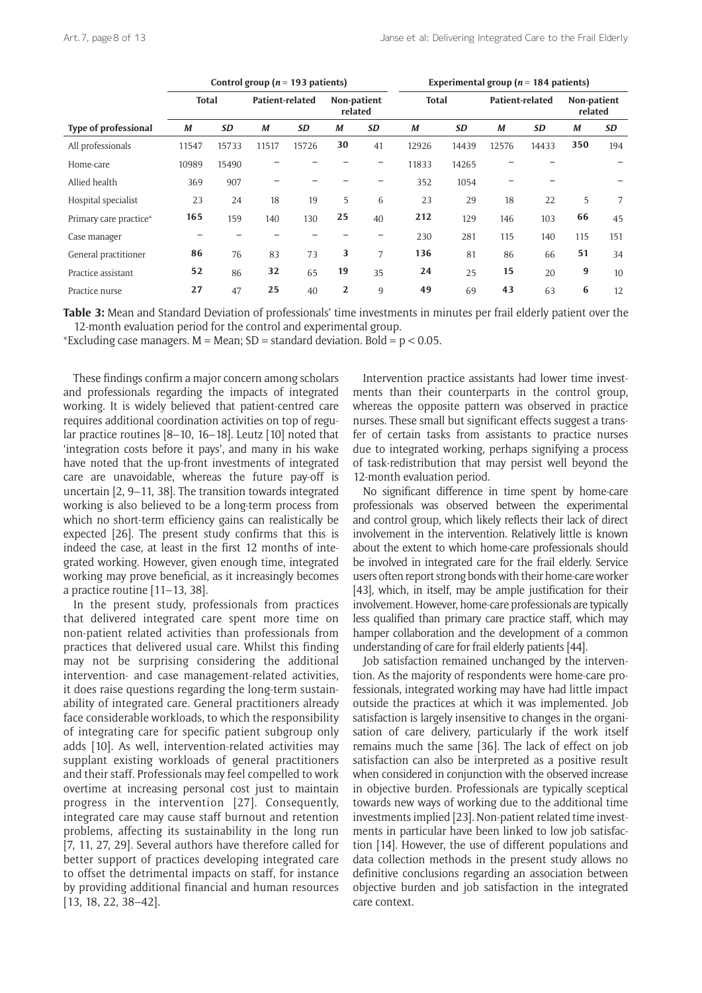|                             |       |           | Control group ( $n = 193$ patients) |       |                |                        |              | Experimental group ( $n = 184$ patients) |       |                 |                        |           |
|-----------------------------|-------|-----------|-------------------------------------|-------|----------------|------------------------|--------------|------------------------------------------|-------|-----------------|------------------------|-----------|
|                             | Total |           | Patient-related                     |       |                | Non-patient<br>related | <b>Total</b> |                                          |       | Patient-related | Non-patient<br>related |           |
| <b>Type of professional</b> | M     | <b>SD</b> | M                                   | SD    | M              | <b>SD</b>              | M            | <b>SD</b>                                | M     | <b>SD</b>       | M                      | <b>SD</b> |
| All professionals           | 11547 | 15733     | 11517                               | 15726 | 30             | 41                     | 12926        | 14439                                    | 12576 | 14433           | 350                    | 194       |
| Home-care                   | 10989 | 15490     |                                     |       |                |                        | 11833        | 14265                                    |       |                 |                        |           |
| Allied health               | 369   | 907       |                                     |       |                |                        | 352          | 1054                                     |       |                 |                        |           |
| Hospital specialist         | 23    | 24        | 18                                  | 19    | 5              | 6                      | 23           | 29                                       | 18    | 22              | 5                      | 7         |
| Primary care practice*      | 165   | 159       | 140                                 | 130   | 25             | 40                     | 212          | 129                                      | 146   | 103             | 66                     | 45        |
| Case manager                |       |           |                                     |       |                | -                      | 230          | 281                                      | 115   | 140             | 115                    | 151       |
| General practitioner        | 86    | 76        | 83                                  | 73    | 3              | 7                      | 136          | 81                                       | 86    | 66              | 51                     | 34        |
| Practice assistant          | 52    | 86        | 32                                  | 65    | 19             | 35                     | 24           | 25                                       | 15    | 20              | 9                      | 10        |
| Practice nurse              | 27    | 47        | 25                                  | 40    | $\overline{2}$ | 9                      | 49           | 69                                       | 43    | 63              | 6                      | 12        |

**Table 3:** Mean and Standard Deviation of professionals' time investments in minutes per frail elderly patient over the 12-month evaluation period for the control and experimental group.

\*Excluding case managers.  $M = Mean$ ; SD = standard deviation. Bold =  $p < 0.05$ .

These findings confirm a major concern among scholars and professionals regarding the impacts of integrated working. It is widely believed that patient-centred care requires additional coordination activities on top of regular practice routines [8–10, 16–18]. Leutz [10] noted that 'integration costs before it pays', and many in his wake have noted that the up-front investments of integrated care are unavoidable, whereas the future pay-off is uncertain [2, 9–11, 38]. The transition towards integrated working is also believed to be a long-term process from which no short-term efficiency gains can realistically be expected [26]. The present study confirms that this is indeed the case, at least in the first 12 months of integrated working. However, given enough time, integrated working may prove beneficial, as it increasingly becomes a practice routine [11–13, 38].

In the present study, professionals from practices that delivered integrated care spent more time on non-patient related activities than professionals from practices that delivered usual care. Whilst this finding may not be surprising considering the additional intervention- and case management-related activities, it does raise questions regarding the long-term sustainability of integrated care. General practitioners already face considerable workloads, to which the responsibility of integrating care for specific patient subgroup only adds [10]. As well, intervention-related activities may supplant existing workloads of general practitioners and their staff. Professionals may feel compelled to work overtime at increasing personal cost just to maintain progress in the intervention [27]. Consequently, integrated care may cause staff burnout and retention problems, affecting its sustainability in the long run [7, 11, 27, 29]. Several authors have therefore called for better support of practices developing integrated care to offset the detrimental impacts on staff, for instance by providing additional financial and human resources [13, 18, 22, 38–42].

Intervention practice assistants had lower time investments than their counterparts in the control group, whereas the opposite pattern was observed in practice nurses. These small but significant effects suggest a transfer of certain tasks from assistants to practice nurses due to integrated working, perhaps signifying a process of task-redistribution that may persist well beyond the 12-month evaluation period.

No significant difference in time spent by home-care professionals was observed between the experimental and control group, which likely reflects their lack of direct involvement in the intervention. Relatively little is known about the extent to which home-care professionals should be involved in integrated care for the frail elderly. Service users often report strong bonds with their home-care worker [43], which, in itself, may be ample justification for their involvement. However, home-care professionals are typically less qualified than primary care practice staff, which may hamper collaboration and the development of a common understanding of care for frail elderly patients [44].

Job satisfaction remained unchanged by the intervention. As the majority of respondents were home-care professionals, integrated working may have had little impact outside the practices at which it was implemented. Job satisfaction is largely insensitive to changes in the organisation of care delivery, particularly if the work itself remains much the same [36]. The lack of effect on job satisfaction can also be interpreted as a positive result when considered in conjunction with the observed increase in objective burden. Professionals are typically sceptical towards new ways of working due to the additional time investments implied [23]. Non-patient related time investments in particular have been linked to low job satisfaction [14]. However, the use of different populations and data collection methods in the present study allows no definitive conclusions regarding an association between objective burden and job satisfaction in the integrated care context.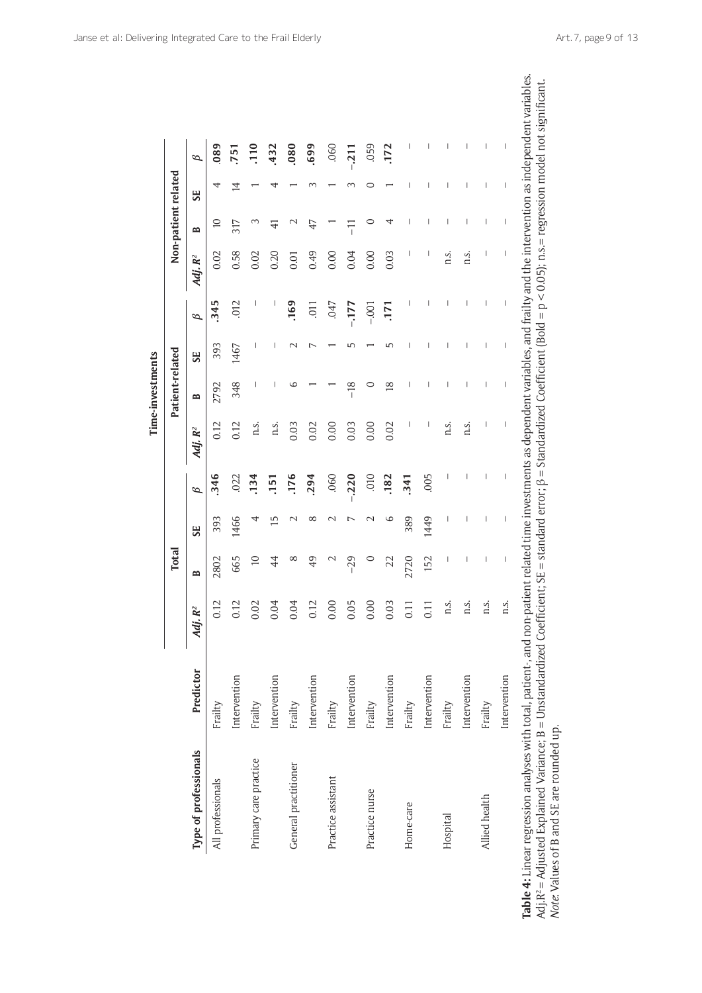|                                                                                                                                                                                                                                                                                                                                                                                                                                     |              |                     |                          |                          |                          |                          | Time-investments         |                          |                          |                          |                          |                          |                          |  |
|-------------------------------------------------------------------------------------------------------------------------------------------------------------------------------------------------------------------------------------------------------------------------------------------------------------------------------------------------------------------------------------------------------------------------------------|--------------|---------------------|--------------------------|--------------------------|--------------------------|--------------------------|--------------------------|--------------------------|--------------------------|--------------------------|--------------------------|--------------------------|--------------------------|--|
|                                                                                                                                                                                                                                                                                                                                                                                                                                     |              |                     | <b>Total</b>             |                          |                          |                          | Patient-related          |                          |                          |                          |                          | Non-patient related      |                          |  |
| Type of professionals                                                                                                                                                                                                                                                                                                                                                                                                               | Predictor    | Adj. R <sup>2</sup> | $\mathbf{r}$             | SE                       | B                        | Adj. R <sup>2</sup>      | $\approx$                | SE                       | B                        | Adj. R <sup>2</sup>      | $\approx$                | SE                       | 6                        |  |
| All professionals                                                                                                                                                                                                                                                                                                                                                                                                                   | Frailty      | 0.12                | 2802                     | 393                      | 346                      | 0.12                     | 2792                     | 393                      | 345                      | 0.02                     | $\supseteq$              | 4                        | 089                      |  |
|                                                                                                                                                                                                                                                                                                                                                                                                                                     | Intervention | 0.12                | 665                      | 1466                     | .022                     | 0.12                     | 348                      | 1467                     | 012                      | 0.58                     | 317                      | $\overline{4}$           | .751                     |  |
| Primary care practice                                                                                                                                                                                                                                                                                                                                                                                                               | Frailty      | 0.02                | $\supseteq$              | 4                        | 134                      | n.s.                     | ı                        | ı                        | ı                        | 0.02                     |                          |                          | 110                      |  |
|                                                                                                                                                                                                                                                                                                                                                                                                                                     | Intervention | 0.04                | $\overline{4}$           | 15                       | 151                      | n.s.                     |                          |                          |                          | 0.20                     | $\overline{41}$          |                          | .432                     |  |
| General practitioner                                                                                                                                                                                                                                                                                                                                                                                                                | Frailty      | 0.04                | $^{\circ}$               |                          | .176                     | 0.03                     | ڡ                        |                          | .169                     | 0.01                     | $\sim$                   |                          | 080                      |  |
|                                                                                                                                                                                                                                                                                                                                                                                                                                     | Intervention | 0.12                | 49                       | ∞                        | .294                     | 0.02                     |                          |                          | .011                     | 0.49                     | 47                       |                          | 699                      |  |
| Practice assistant                                                                                                                                                                                                                                                                                                                                                                                                                  | Frailty      | 0.00                | $\sim$                   |                          | .060                     | 0.00                     |                          |                          | 047                      | 0.00                     |                          |                          | .060                     |  |
|                                                                                                                                                                                                                                                                                                                                                                                                                                     | Intervention | 0.05                | $-29$                    |                          | $-0.220$                 | 0.03                     | $-18$                    |                          | $-177$                   | 0.04                     | F                        |                          | $-211$                   |  |
| Practice nurse                                                                                                                                                                                                                                                                                                                                                                                                                      | Frailty      | 0.00                | 0                        | $\sim$                   | 010                      | 0.00                     |                          |                          | $-0.001$                 | 0.00                     | c                        |                          | 059                      |  |
|                                                                                                                                                                                                                                                                                                                                                                                                                                     | Intervention | 0.03                | 22                       | 6                        | .182                     | 0.02                     | ∞                        | 5                        | $\overline{171}$         | 0.03                     |                          |                          | .172                     |  |
| Home-care                                                                                                                                                                                                                                                                                                                                                                                                                           | Frailty      | 0.11                | 2720                     | 389                      | 341                      | ı                        |                          |                          |                          | I                        |                          |                          |                          |  |
|                                                                                                                                                                                                                                                                                                                                                                                                                                     | Intervention | 0.11                | 152                      | 1449                     | .005                     | I                        |                          |                          |                          | I                        |                          |                          |                          |  |
| Hospital                                                                                                                                                                                                                                                                                                                                                                                                                            | Frailty      | n.s.                | $\overline{\phantom{a}}$ |                          |                          | n.s.                     |                          |                          |                          | n.s.                     |                          |                          |                          |  |
|                                                                                                                                                                                                                                                                                                                                                                                                                                     | Intervention | n.s.                | I                        | ı                        | ı                        | n.s.                     | I                        |                          |                          | n.s.                     |                          |                          | ı                        |  |
| Allied health                                                                                                                                                                                                                                                                                                                                                                                                                       | Frailty      | n.s.                | $\overline{\phantom{a}}$ | $\overline{\phantom{a}}$ | $\overline{\phantom{a}}$ | $\overline{\phantom{a}}$ | $\overline{\phantom{a}}$ | $\overline{\phantom{a}}$ | $\overline{\phantom{a}}$ | $\overline{\phantom{a}}$ | $\overline{\phantom{a}}$ | $\overline{\phantom{a}}$ | $\overline{\phantom{a}}$ |  |
|                                                                                                                                                                                                                                                                                                                                                                                                                                     | Intervention | n.s.                | $\overline{\phantom{a}}$ |                          |                          | $\overline{\phantom{a}}$ | I                        |                          | I                        | I                        | I                        |                          | $\overline{\phantom{a}}$ |  |
| Table 4: Linear regression analyses with total, patient-, and non-patient related time investments as dependent variables, and frailty and the intervention as independent variables.<br>Adj.R <sup>2</sup> = Adjusted Explained Variance; B = Unstandardized Coefficient; SE = standard error; β = Standardized Coefficient (Bold = p < 0.05); n.s.= regression model not significant.<br>Note: Values of B and SE are rounded up. |              |                     |                          |                          |                          |                          |                          |                          |                          |                          |                          |                          |                          |  |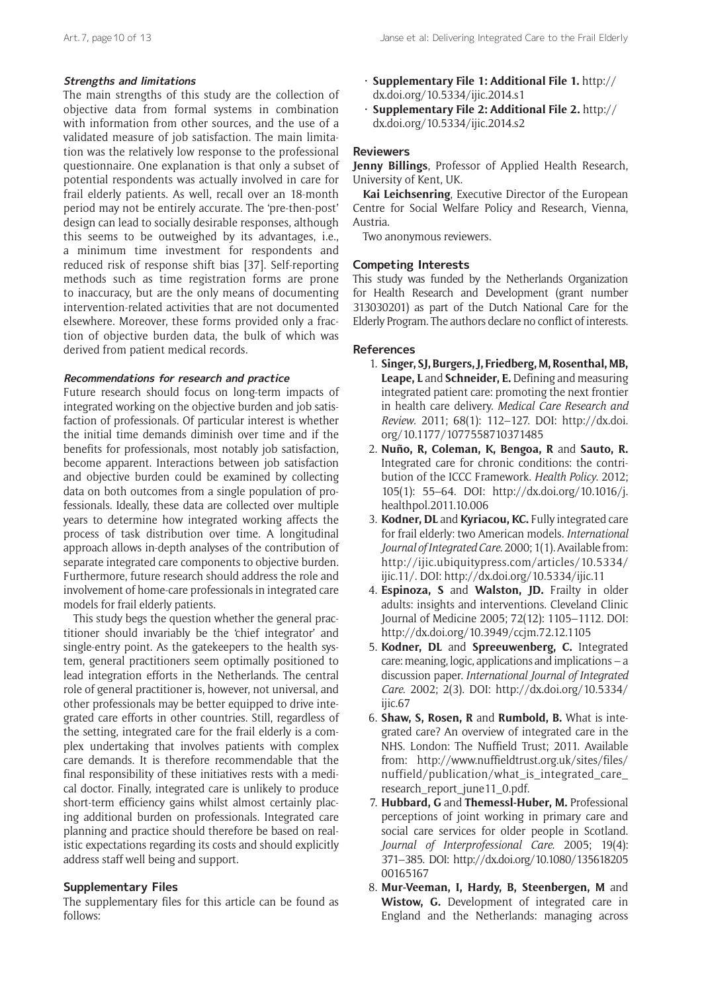#### **Strengths and limitations**

The main strengths of this study are the collection of objective data from formal systems in combination with information from other sources, and the use of a validated measure of job satisfaction. The main limitation was the relatively low response to the professional questionnaire. One explanation is that only a subset of potential respondents was actually involved in care for frail elderly patients. As well, recall over an 18-month period may not be entirely accurate. The 'pre-then-post' design can lead to socially desirable responses, although this seems to be outweighed by its advantages, i.e., a minimum time investment for respondents and reduced risk of response shift bias [37]. Self-reporting methods such as time registration forms are prone to inaccuracy, but are the only means of documenting intervention-related activities that are not documented elsewhere. Moreover, these forms provided only a fraction of objective burden data, the bulk of which was derived from patient medical records.

#### **Recommendations for research and practice**

Future research should focus on long-term impacts of integrated working on the objective burden and job satisfaction of professionals. Of particular interest is whether the initial time demands diminish over time and if the benefits for professionals, most notably job satisfaction, become apparent. Interactions between job satisfaction and objective burden could be examined by collecting data on both outcomes from a single population of professionals. Ideally, these data are collected over multiple years to determine how integrated working affects the process of task distribution over time. A longitudinal approach allows in-depth analyses of the contribution of separate integrated care components to objective burden. Furthermore, future research should address the role and involvement of home-care professionals in integrated care models for frail elderly patients.

This study begs the question whether the general practitioner should invariably be the 'chief integrator' and single-entry point. As the gatekeepers to the health system, general practitioners seem optimally positioned to lead integration efforts in the Netherlands. The central role of general practitioner is, however, not universal, and other professionals may be better equipped to drive integrated care efforts in other countries. Still, regardless of the setting, integrated care for the frail elderly is a complex undertaking that involves patients with complex care demands. It is therefore recommendable that the final responsibility of these initiatives rests with a medical doctor. Finally, integrated care is unlikely to produce short-term efficiency gains whilst almost certainly placing additional burden on professionals. Integrated care planning and practice should therefore be based on realistic expectations regarding its costs and should explicitly address staff well being and support.

## **Supplementary Files**

The supplementary files for this article can be found as follows:

- • **Supplementary File 1: Additional File 1.** [http://](http://dx.doi.org/10.5334/ijic.2014.s1) [dx.doi.org/10.5334/ijic.2014.s1](http://dx.doi.org/10.5334/ijic.2014.s1)
- • **Supplementary File 2: Additional File 2.** [http://](http://dx.doi.org/10.5334/ijic.2014.s2) [dx.doi.org/10.5334/ijic.2014.s2](http://dx.doi.org/10.5334/ijic.2014.s2)

#### **Reviewers**

**Jenny Billings**, Professor of Applied Health Research, University of Kent, UK.

**Kai Leichsenring**, Executive Director of the European Centre for Social Welfare Policy and Research, Vienna, Austria.

Two anonymous reviewers.

## **Competing Interests**

This study was funded by the Netherlands Organization for Health Research and Development (grant number 313030201) as part of the Dutch National Care for the Elderly Program. The authors declare no conflict of interests.

## **References**

- 1. **Singer, SJ, Burgers, J, Friedberg, M, Rosenthal, MB, Leape, L** and **Schneider, E.** Defining and measuring integrated patient care: promoting the next frontier in health care delivery. *Medical Care Research and Review*. 2011; 68(1): 112–127. DOI: [http://dx.doi.](http://dx.doi.org/10.1177/1077558710371485) [org/10.1177/1077558710371485](http://dx.doi.org/10.1177/1077558710371485)
- 2. **Nuño, R, Coleman, K, Bengoa, R** and **Sauto, R.** Integrated care for chronic conditions: the contribution of the ICCC Framework. *Health Policy*. 2012; 105(1): 55–64. DOI: [http://dx.doi.org/10.1016/j.](http://dx.doi.org/10.1016/j.healthpol.2011.10.006) [healthpol.2011.10.006](http://dx.doi.org/10.1016/j.healthpol.2011.10.006)
- 3. **Kodner, DL** and **Kyriacou, KC.** Fully integrated care for frail elderly: two American models. *International Journal of Integrated Care*. 2000; 1(1). Available from: [http://ijic.ubiquitypress.com/articles/10.5334/](http://ijic.ubiquitypress.com/articles/10.5334/ijic.11/) [ijic.11/.](http://ijic.ubiquitypress.com/articles/10.5334/ijic.11/) DOI: <http://dx.doi.org/10.5334/ijic.11>
- 4. **Espinoza, S** and **Walston, JD.** Frailty in older adults: insights and interventions. Cleveland Clinic Journal of Medicine 2005; 72(12): 1105–1112. DOI: <http://dx.doi.org/10.3949/ccjm.72.12.1105>
- 5. **Kodner, DL** and **Spreeuwenberg, C.** Integrated care: meaning, logic, applications and implications – a discussion paper. *International Journal of Integrated Care*. 2002; 2(3). DOI: [http://dx.doi.org/10.5334/](http://dx.doi.org/10.5334/ijic.67) [ijic.67](http://dx.doi.org/10.5334/ijic.67)
- 6. **Shaw, S, Rosen, R** and **Rumbold, B.** What is integrated care? An overview of integrated care in the NHS. London: The Nuffield Trust; 2011. Available from: [http://www.nuffieldtrust.org.uk/sites/files/](http://www.nuffieldtrust.org.uk/sites/files/nuffield/publication/what_is_integrated_care_research_report_june11_0.pdf) nuffield/publication/what\_is\_integrated\_care [research\\_report\\_june11\\_0.pdf](http://www.nuffieldtrust.org.uk/sites/files/nuffield/publication/what_is_integrated_care_research_report_june11_0.pdf).
- 7. **Hubbard, G** and **Themessl-Huber, M.** Professional perceptions of joint working in primary care and social care services for older people in Scotland. *Journal of Interprofessional Care*. 2005; 19(4): 371–385. DOI: [http://dx.doi.org/10.1080/135618205](http://dx.doi.org/10.1080/13561820500165167) [00165167](http://dx.doi.org/10.1080/13561820500165167)
- 8. **Mur-Veeman, I, Hardy, B, Steenbergen, M** and **Wistow, G.** Development of integrated care in England and the Netherlands: managing across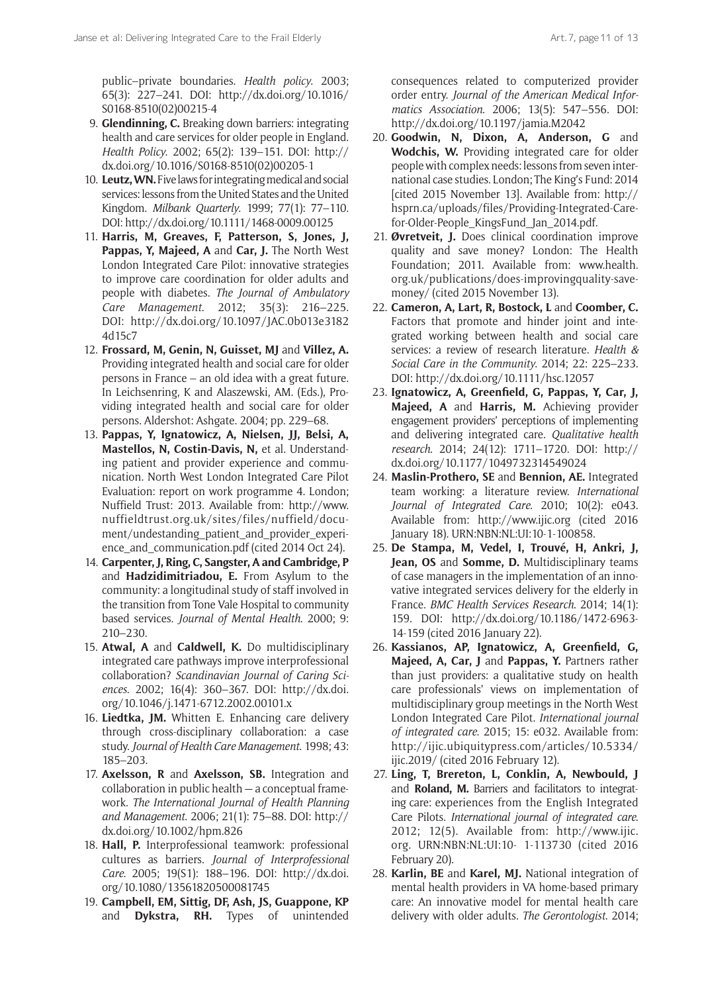public–private boundaries. *Health policy*. 2003; 65(3): 227–241. DOI: [http://dx.doi.org/10.1016/](http://dx.doi.org/10.1016/S0168-8510(02)00215-4) [S0168-8510\(02\)00215-4](http://dx.doi.org/10.1016/S0168-8510(02)00215-4)

- 9. **Glendinning, C.** Breaking down barriers: integrating health and care services for older people in England. *Health Policy*. 2002; 65(2): 139–151. DOI: [http://](http://dx.doi.org/10.1016/S0168-8510(02)00205-1) [dx.doi.org/10.1016/S0168-8510\(02\)00205-1](http://dx.doi.org/10.1016/S0168-8510(02)00205-1)
- 10. **Leutz, WN.** Five laws for integrating medical and social services: lessons from the United States and the United Kingdom. *Milbank Quarterly*. 1999; 77(1): 77–110. DOI:<http://dx.doi.org/10.1111/1468-0009.00125>
- 11. **Harris, M, Greaves, F, Patterson, S, Jones, J, Pappas, Y, Majeed, A** and **Car, J.** The North West London Integrated Care Pilot: innovative strategies to improve care coordination for older adults and people with diabetes. *The Journal of Ambulatory Care Management*. 2012; 35(3): 216–225. DOI: [http://dx.doi.org/10.1097/JAC.0b013e3182](http://dx.doi.org/10.1097/JAC.0b013e31824d15c7) [4d15c7](http://dx.doi.org/10.1097/JAC.0b013e31824d15c7)
- 12. **Frossard, M, Genin, N, Guisset, MJ** and **Villez, A.** Providing integrated health and social care for older persons in France – an old idea with a great future. In Leichsenring, K and Alaszewski, AM. (Eds.), Providing integrated health and social care for older persons. Aldershot: Ashgate. 2004; pp. 229–68.
- 13. **Pappas, Y, Ignatowicz, A, Nielsen, JJ, Belsi, A, Mastellos, N, Costin-Davis, N,** et al. Understanding patient and provider experience and communication. North West London Integrated Care Pilot Evaluation: report on work programme 4. London; Nuffield Trust: 2013. Available from: [http://www.](http://www.nuffieldtrust.org.uk/sites/files/nuffield/document/undestanding_patient_and_provider_experience_and_communication.pdf) [nuffieldtrust.org.uk/sites/files/nuffield/docu](http://www.nuffieldtrust.org.uk/sites/files/nuffield/document/undestanding_patient_and_provider_experience_and_communication.pdf)[ment/undestanding\\_patient\\_and\\_provider\\_experi](http://www.nuffieldtrust.org.uk/sites/files/nuffield/document/undestanding_patient_and_provider_experience_and_communication.pdf)[ence\\_and\\_communication.pdf](http://www.nuffieldtrust.org.uk/sites/files/nuffield/document/undestanding_patient_and_provider_experience_and_communication.pdf) (cited 2014 Oct 24).
- 14. **Carpenter, J, Ring, C, Sangster, A and Cambridge, P** and **Hadzidimitriadou, E.** From Asylum to the community: a longitudinal study of staff involved in the transition from Tone Vale Hospital to community based services. *Journal of Mental Health*. 2000; 9: 210–230.
- 15. **Atwal, A** and **Caldwell, K.** Do multidisciplinary integrated care pathways improve interprofessional collaboration? *Scandinavian Journal of Caring Sciences*. 2002; 16(4): 360–367. DOI: [http://dx.doi.](http://dx.doi.org/10.1046/j.1471-6712.2002.00101.x) [org/10.1046/j.1471-6712.2002.00101.x](http://dx.doi.org/10.1046/j.1471-6712.2002.00101.x)
- 16. **Liedtka, JM.** Whitten E. Enhancing care delivery through cross-disciplinary collaboration: a case study. *Journal of Health Care Management*. 1998; 43: 185–203.
- 17. **Axelsson, R** and **Axelsson, SB.** Integration and collaboration in public health — a conceptual framework. *The International Journal of Health Planning and Management*. 2006; 21(1): 75–88. DOI: [http://](http://dx.doi.org/10.1002/hpm.826) [dx.doi.org/10.1002/hpm.826](http://dx.doi.org/10.1002/hpm.826)
- 18. **Hall, P.** Interprofessional teamwork: professional cultures as barriers. *Journal of Interprofessional Care*. 2005; 19(S1): 188–196. DOI: [http://dx.doi.](http://dx.doi.org/10.1080/13561820500081745) [org/10.1080/13561820500081745](http://dx.doi.org/10.1080/13561820500081745)
- 19. **Campbell, EM, Sittig, DF, Ash, JS, Guappone, KP** and **Dykstra, RH.** Types of unintended

consequences related to computerized provider order entry. *Journal of the American Medical Informatics Association*. 2006; 13(5): 547–556. DOI: <http://dx.doi.org/10.1197/jamia.M2042>

- 20. **Goodwin, N, Dixon, A, Anderson, G** and **Wodchis, W.** Providing integrated care for older people with complex needs: lessons from seven international case studies. London; The King's Fund: 2014 [cited 2015 November 13]. Available from: [http://](http://hsprn.ca/uploads/files/Providing-Integrated-Care-for-Older-People_KingsFund_Jan_2014.pdf) [hsprn.ca/uploads/files/Providing-Integrated-Care](http://hsprn.ca/uploads/files/Providing-Integrated-Care-for-Older-People_KingsFund_Jan_2014.pdf)[for-Older-People\\_KingsFund\\_Jan\\_2014.pdf](http://hsprn.ca/uploads/files/Providing-Integrated-Care-for-Older-People_KingsFund_Jan_2014.pdf).
- 21. **Øvretveit, J.** Does clinical coordination improve quality and save money? London: The Health Foundation; 2011. Available from: [www.health.](http://www.health.org.uk/publications/does-improvingquality-save-money/) [org.uk/publications/does-improvingquality-save](http://www.health.org.uk/publications/does-improvingquality-save-money/)[money/](http://www.health.org.uk/publications/does-improvingquality-save-money/) (cited 2015 November 13).
- 22. **Cameron, A, Lart, R, Bostock, L** and **Coomber, C.** Factors that promote and hinder joint and integrated working between health and social care services: a review of research literature. *Health & Social Care in the Community*. 2014; 22: 225–233. DOI: <http://dx.doi.org/10.1111/hsc.12057>
- 23. **Ignatowicz, A, Greenfield, G, Pappas, Y, Car, J, Majeed, A** and **Harris, M.** Achieving provider engagement providers' perceptions of implementing and delivering integrated care. *Qualitative health research*. 2014; 24(12): 1711–1720. DOI: [http://](http://dx.doi.org/10.1177/1049732314549024) [dx.doi.org/10.1177/1049732314549024](http://dx.doi.org/10.1177/1049732314549024)
- 24. **Maslin-Prothero, SE** and **Bennion, AE.** Integrated team working: a literature review. *International Journal of Integrated Care*. 2010; 10(2): e043. Available from: http://www.ijic.org (cited 2016 January 18). URN:NBN:NL:UI:10-1-100858.
- 25. **De Stampa, M, Vedel, I, Trouvé, H, Ankri, J, Jean, OS** and **Somme, D.** Multidisciplinary teams of case managers in the implementation of an innovative integrated services delivery for the elderly in France. *BMC Health Services Research*. 2014; 14(1): 159. DOI: [http://dx.doi.org/10.1186/1472-6963-](http://dx.doi.org/10.1186/1472-6963-14-159) [14-159](http://dx.doi.org/10.1186/1472-6963-14-159) (cited 2016 January 22).
- 26. **Kassianos, AP, Ignatowicz, A, Greenfield, G, Majeed, A, Car, J** and **Pappas, Y.** Partners rather than just providers: a qualitative study on health care professionals' views on implementation of multidisciplinary group meetings in the North West London Integrated Care Pilot. *International journal of integrated care*. 2015; 15: e032. Available from: [http://ijic.ubiquitypress.com/articles/10.5334/](http://ijic.ubiquitypress.com/articles/10.5334/ijic.2019/) [ijic.2019/](http://ijic.ubiquitypress.com/articles/10.5334/ijic.2019/) (cited 2016 February 12).
- 27. **Ling, T, Brereton, L, Conklin, A, Newbould, J** and **Roland, M.** Barriers and facilitators to integrating care: experiences from the English Integrated Care Pilots. *International journal of integrated care*. 2012; 12(5). Available from: [http://www.ijic.](http://www.ijic.org) [org.](http://www.ijic.org) URN:NBN:NL:UI:10- 1-113730 (cited 2016 February 20).
- 28. **Karlin, BE** and **Karel, MJ.** National integration of mental health providers in VA home-based primary care: An innovative model for mental health care delivery with older adults. *The Gerontologist*. 2014;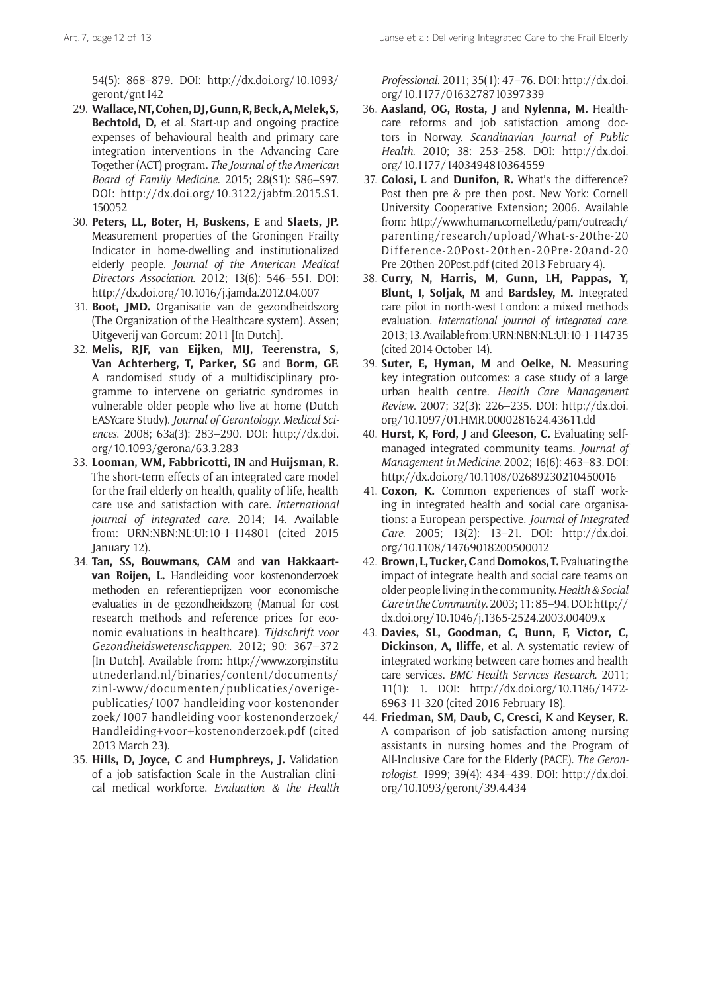54(5): 868–879. DOI: [http://dx.doi.org/10.1093/](http://dx.doi.org/10.1093/geront/gnt142) [geront/gnt142](http://dx.doi.org/10.1093/geront/gnt142)

- 29. **Wallace, NT, Cohen, DJ, Gunn, R, Beck, A, Melek, S, Bechtold, D,** et al. Start-up and ongoing practice expenses of behavioural health and primary care integration interventions in the Advancing Care Together (ACT) program. *The Journal of the American Board of Family Medicine*. 2015; 28(S1): S86–S97. DOI: [http://dx.doi.org/10.3122/jabfm.2015.S1.](http://dx.doi.org/10.3122/jabfm.2015.S1.150052) [150052](http://dx.doi.org/10.3122/jabfm.2015.S1.150052)
- 30. **Peters, LL, Boter, H, Buskens, E** and **Slaets, JP.** Measurement properties of the Groningen Frailty Indicator in home-dwelling and institutionalized elderly people. *Journal of the American Medical Directors Association*. 2012; 13(6): 546–551. DOI: <http://dx.doi.org/10.1016/j.jamda.2012.04.007>
- 31. **Boot, JMD.** Organisatie van de gezondheidszorg (The Organization of the Healthcare system). Assen; Uitgeverij van Gorcum: 2011 [In Dutch].
- 32. **Melis, RJF, van Eijken, MIJ, Teerenstra, S, Van Achterberg, T, Parker, SG** and **Borm, GF.** A randomised study of a multidisciplinary programme to intervene on geriatric syndromes in vulnerable older people who live at home (Dutch EASYcare Study). *Journal of Gerontology*. *Medical Sciences*. 2008; 63a(3): 283–290. DOI: [http://dx.doi.](http://dx.doi.org/10.1093/gerona/63.3.283) [org/10.1093/gerona/63.3.283](http://dx.doi.org/10.1093/gerona/63.3.283)
- 33. **Looman, WM, Fabbricotti, IN** and **Huijsman, R.** The short-term effects of an integrated care model for the frail elderly on health, quality of life, health care use and satisfaction with care. *International journal of integrated care*. 2014; 14. Available from: URN:NBN:NL:UI:10-1-114801 (cited 2015 January 12).
- 34. **Tan, SS, Bouwmans, CAM** and **van Hakkaartvan Roijen, L.** Handleiding voor kostenonderzoek methoden en referentieprijzen voor economische evaluaties in de gezondheidszorg (Manual for cost research methods and reference prices for economic evaluations in healthcare). *Tijdschrift voor Gezondheidswetenschappen*. 2012; 90: 367–372 [In Dutch]. Available from: [http://www.zorginstitu](http://www.zorginstituutnederland.nl/binaries/content/documents/zinl-www/documenten/publicaties/overige-publicaties/1007-handleiding-voor-kostenonderzoek/1007-handleiding-voor-kostenonderzoek/Handleiding+voor+kostenonderzoek.pdf) [utnederland.nl/binaries/content/documents/](http://www.zorginstituutnederland.nl/binaries/content/documents/zinl-www/documenten/publicaties/overige-publicaties/1007-handleiding-voor-kostenonderzoek/1007-handleiding-voor-kostenonderzoek/Handleiding+voor+kostenonderzoek.pdf) [zinl-www/documenten/publicaties/overige](http://www.zorginstituutnederland.nl/binaries/content/documents/zinl-www/documenten/publicaties/overige-publicaties/1007-handleiding-voor-kostenonderzoek/1007-handleiding-voor-kostenonderzoek/Handleiding+voor+kostenonderzoek.pdf)[publicaties/1007-handleiding-voor-kostenonder](http://www.zorginstituutnederland.nl/binaries/content/documents/zinl-www/documenten/publicaties/overige-publicaties/1007-handleiding-voor-kostenonderzoek/1007-handleiding-voor-kostenonderzoek/Handleiding+voor+kostenonderzoek.pdf) [zoek/1007-handleiding-voor-kostenonderzoek/](http://www.zorginstituutnederland.nl/binaries/content/documents/zinl-www/documenten/publicaties/overige-publicaties/1007-handleiding-voor-kostenonderzoek/1007-handleiding-voor-kostenonderzoek/Handleiding+voor+kostenonderzoek.pdf) [Handleiding+voor+kostenonderzoek.pdf](http://www.zorginstituutnederland.nl/binaries/content/documents/zinl-www/documenten/publicaties/overige-publicaties/1007-handleiding-voor-kostenonderzoek/1007-handleiding-voor-kostenonderzoek/Handleiding+voor+kostenonderzoek.pdf) (cited 2013 March 23).
- 35. **Hills, D, Joyce, C** and **Humphreys, J.** Validation of a job satisfaction Scale in the Australian clinical medical workforce. *Evaluation & the Health*

*Professional*. 2011; 35(1): 47–76. DOI: [http://dx.doi.](http://dx.doi.org/10.1177/0163278710397339) [org/10.1177/0163278710397339](http://dx.doi.org/10.1177/0163278710397339)

- 36. **Aasland, OG, Rosta, J** and **Nylenna, M.** Healthcare reforms and job satisfaction among doctors in Norway. *Scandinavian Journal of Public Health*. 2010; 38: 253–258. DOI: [http://dx.doi.](http://dx.doi.org/10.1177/1403494810364559) [org/10.1177/1403494810364559](http://dx.doi.org/10.1177/1403494810364559)
- 37. **Colosi, L** and **Dunifon, R.** What's the difference? Post then pre & pre then post. New York: Cornell University Cooperative Extension; 2006. Available from: [http://www.human.cornell.edu/pam/outreach/](http://www.human.cornell.edu/pam/outreach/parenting/research/upload/What-s-20the-20Difference-20Post-20then-20Pre-20and-20Pre-20then-20Post.pdf) [parenting/research/upload/What-s-20the-20](http://www.human.cornell.edu/pam/outreach/parenting/research/upload/What-s-20the-20Difference-20Post-20then-20Pre-20and-20Pre-20then-20Post.pdf) [Difference-20Post-20then-20Pre-20and-20](http://www.human.cornell.edu/pam/outreach/parenting/research/upload/What-s-20the-20Difference-20Post-20then-20Pre-20and-20Pre-20then-20Post.pdf) [Pre-20then-20Post.pdf](http://www.human.cornell.edu/pam/outreach/parenting/research/upload/What-s-20the-20Difference-20Post-20then-20Pre-20and-20Pre-20then-20Post.pdf) (cited 2013 February 4).
- 38. **Curry, N, Harris, M, Gunn, LH, Pappas, Y, Blunt, I, Soljak, M** and **Bardsley, M.** Integrated care pilot in north-west London: a mixed methods evaluation. *International journal of integrated care*. 2013; 13. Available from: [URN:NBN:NL:UI:10-1-114735](http://persistent-identifier.nl/?identifier=URN:NBN:NL:UI:10-1-114735) (cited 2014 October 14).
- 39. **Suter, E, Hyman, M** and **Oelke, N.** Measuring key integration outcomes: a case study of a large urban health centre. *Health Care Management Review*. 2007; 32(3): 226–235. DOI: [http://dx.doi.](http://dx.doi.org/10.1097/01.HMR.0000281624.43611.dd) [org/10.1097/01.HMR.0000281624.43611.dd](http://dx.doi.org/10.1097/01.HMR.0000281624.43611.dd)
- 40. **Hurst, K, Ford, J** and **Gleeson, C.** Evaluating selfmanaged integrated community teams. *Journal of Management in Medicine*. 2002; 16(6): 463–83. DOI: <http://dx.doi.org/10.1108/02689230210450016>
- 41. **Coxon, K.** Common experiences of staff working in integrated health and social care organisations: a European perspective. *Journal of Integrated Care*. 2005; 13(2): 13–21. DOI: [http://dx.doi.](http://dx.doi.org/10.1108/14769018200500012) [org/10.1108/14769018200500012](http://dx.doi.org/10.1108/14769018200500012)
- 42. **Brown, L, Tucker, C** and **Domokos, T.** Evaluating the impact of integrate health and social care teams on older people living in the community. *Health & Social Care in the Community*. 2003; 11: 85–94. DOI: [http://](http://dx.doi.org/10.1046/j.1365-2524.2003.00409.x) [dx.doi.org/10.1046/j.1365-2524.2003.00409.x](http://dx.doi.org/10.1046/j.1365-2524.2003.00409.x)
- 43. **Davies, SL, Goodman, C, Bunn, F, Victor, C, Dickinson, A, Iliffe,** et al. A systematic review of integrated working between care homes and health care services. *BMC Health Services Research*. 2011; 11(1): 1. DOI: [http://dx.doi.org/10.1186/1472-](http://dx.doi.org/10.1186/1472-6963-11-320) [6963-11-320](http://dx.doi.org/10.1186/1472-6963-11-320) (cited 2016 February 18).
- 44. **Friedman, SM, Daub, C, Cresci, K** and **Keyser, R.** A comparison of job satisfaction among nursing assistants in nursing homes and the Program of All-Inclusive Care for the Elderly (PACE). *The Gerontologist*. 1999; 39(4): 434–439. DOI: [http://dx.doi.](http://dx.doi.org/10.1093/geront/39.4.434) [org/10.1093/geront/39.4.434](http://dx.doi.org/10.1093/geront/39.4.434)